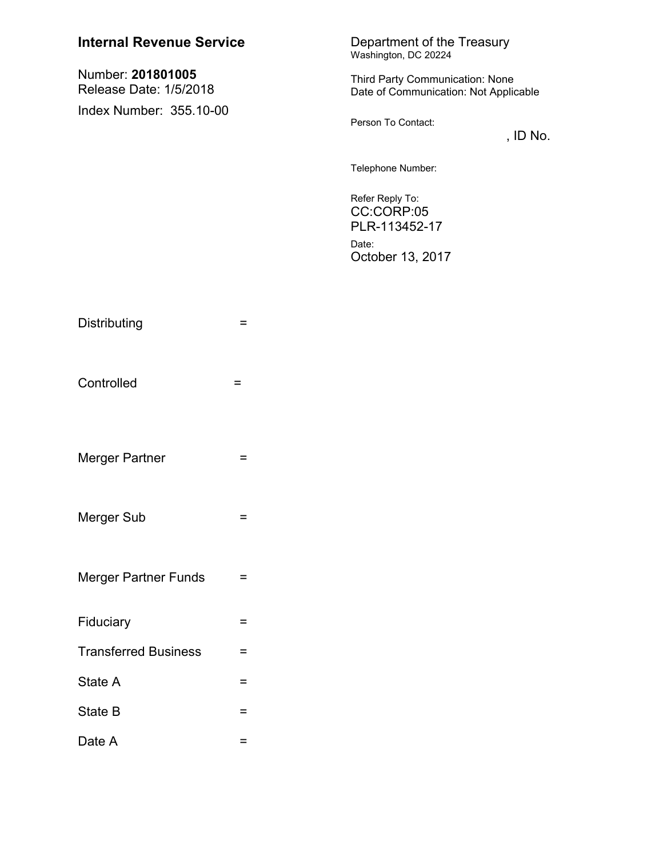| <b>Internal Revenue Service</b>             | Department of the Treasury<br>Washington, DC 20224                              |
|---------------------------------------------|---------------------------------------------------------------------------------|
| Number: 201801005<br>Release Date: 1/5/2018 | <b>Third Party Communication: None</b><br>Date of Communication: Not Applicable |
| Index Number: 355.10-00                     | Person To Contact:<br>, ID No.                                                  |
|                                             | Telephone Number:                                                               |
|                                             | Refer Reply To:<br>CC:CORP:05<br>PLR-113452-17                                  |
|                                             | Date:<br>October 13, 2017                                                       |

| Distributing                | = |
|-----------------------------|---|
| Controlled                  | = |
| Merger Partner              | = |
| <b>Merger Sub</b>           | = |
| <b>Merger Partner Funds</b> | = |
| Fiduciary                   | = |
| <b>Transferred Business</b> | = |
| State A                     | = |
| State B                     | = |
| Date A                      | = |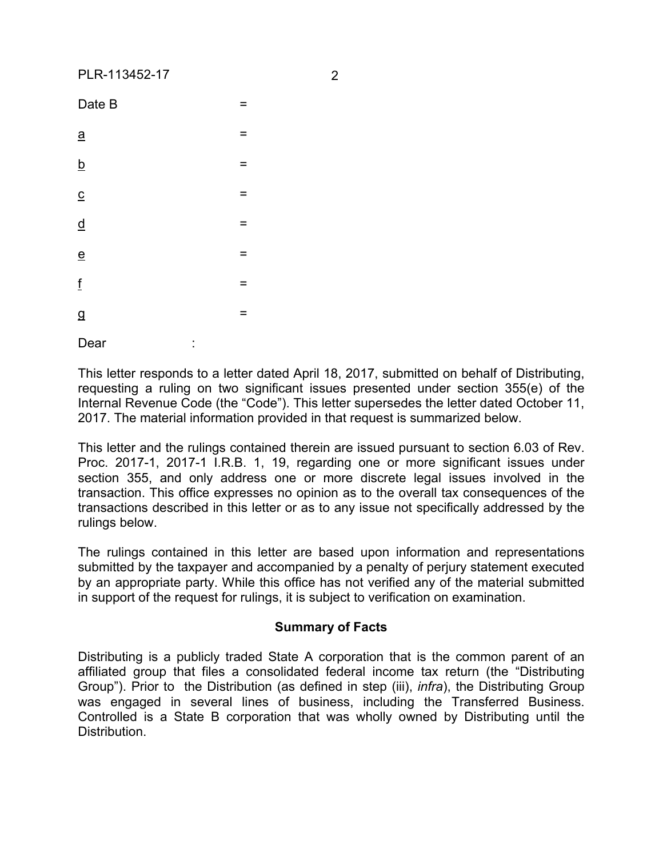| Date B                   | = |
|--------------------------|---|
| $\underline{\mathbf{a}}$ | = |
| $\overline{b}$           | = |
| $\overline{c}$           | = |
| $\overline{q}$           | = |
| $\overline{e}$           | = |
| $\mathbf{f}$             | Ξ |
| $\overline{g}$           | = |
|                          |   |

Dear

This letter responds to a letter dated April 18, 2017, submitted on behalf of Distributing, requesting a ruling on two significant issues presented under section 355(e) of the Internal Revenue Code (the "Code"). This letter supersedes the letter dated October 11, 2017. The material information provided in that request is summarized below.

This letter and the rulings contained therein are issued pursuant to section 6.03 of Rev. Proc. 2017-1, 2017-1 I.R.B. 1, 19, regarding one or more significant issues under section 355, and only address one or more discrete legal issues involved in the transaction. This office expresses no opinion as to the overall tax consequences of the transactions described in this letter or as to any issue not specifically addressed by the rulings below.

The rulings contained in this letter are based upon information and representations submitted by the taxpayer and accompanied by a penalty of perjury statement executed by an appropriate party. While this office has not verified any of the material submitted in support of the request for rulings, it is subject to verification on examination.

# **Summary of Facts**

Distributing is a publicly traded State A corporation that is the common parent of an affiliated group that files a consolidated federal income tax return (the "Distributing Group"). Prior to the Distribution (as defined in step (iii), *infra*), the Distributing Group was engaged in several lines of business, including the Transferred Business. Controlled is a State B corporation that was wholly owned by Distributing until the Distribution.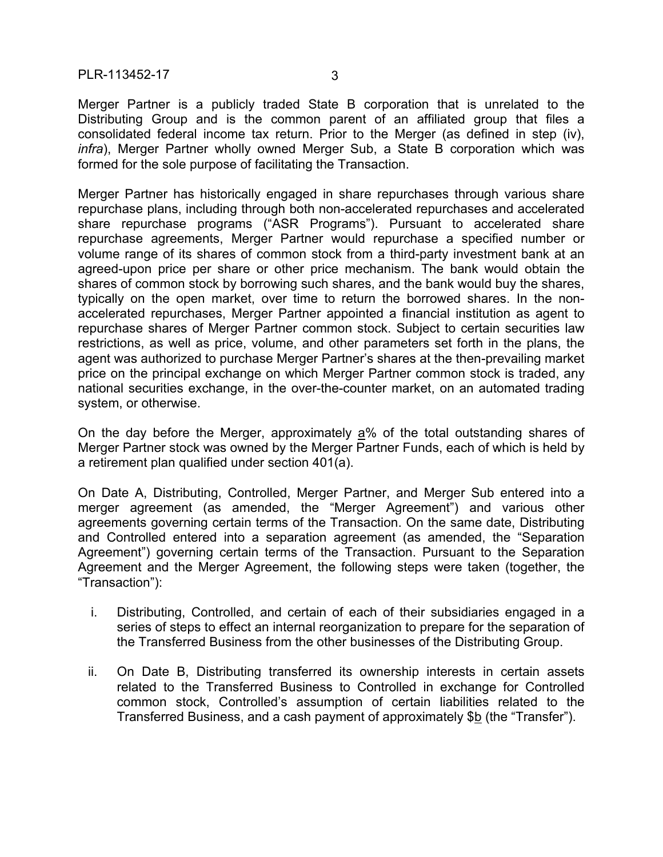Merger Partner is a publicly traded State B corporation that is unrelated to the Distributing Group and is the common parent of an affiliated group that files a consolidated federal income tax return. Prior to the Merger (as defined in step (iv), *infra*), Merger Partner wholly owned Merger Sub, a State B corporation which was formed for the sole purpose of facilitating the Transaction.

Merger Partner has historically engaged in share repurchases through various share repurchase plans, including through both non-accelerated repurchases and accelerated share repurchase programs ("ASR Programs"). Pursuant to accelerated share repurchase agreements, Merger Partner would repurchase a specified number or volume range of its shares of common stock from a third-party investment bank at an agreed-upon price per share or other price mechanism. The bank would obtain the shares of common stock by borrowing such shares, and the bank would buy the shares, typically on the open market, over time to return the borrowed shares. In the nonaccelerated repurchases, Merger Partner appointed a financial institution as agent to repurchase shares of Merger Partner common stock. Subject to certain securities law restrictions, as well as price, volume, and other parameters set forth in the plans, the agent was authorized to purchase Merger Partner's shares at the then-prevailing market price on the principal exchange on which Merger Partner common stock is traded, any national securities exchange, in the over-the-counter market, on an automated trading system, or otherwise.

On the day before the Merger, approximately  $a\%$  of the total outstanding shares of Merger Partner stock was owned by the Merger Partner Funds, each of which is held by a retirement plan qualified under section 401(a).

On Date A, Distributing, Controlled, Merger Partner, and Merger Sub entered into a merger agreement (as amended, the "Merger Agreement") and various other agreements governing certain terms of the Transaction. On the same date, Distributing and Controlled entered into a separation agreement (as amended, the "Separation Agreement") governing certain terms of the Transaction. Pursuant to the Separation Agreement and the Merger Agreement, the following steps were taken (together, the "Transaction"):

- i. Distributing, Controlled, and certain of each of their subsidiaries engaged in a series of steps to effect an internal reorganization to prepare for the separation of the Transferred Business from the other businesses of the Distributing Group.
- ii. On Date B, Distributing transferred its ownership interests in certain assets related to the Transferred Business to Controlled in exchange for Controlled common stock, Controlled's assumption of certain liabilities related to the Transferred Business, and a cash payment of approximately \$b (the "Transfer").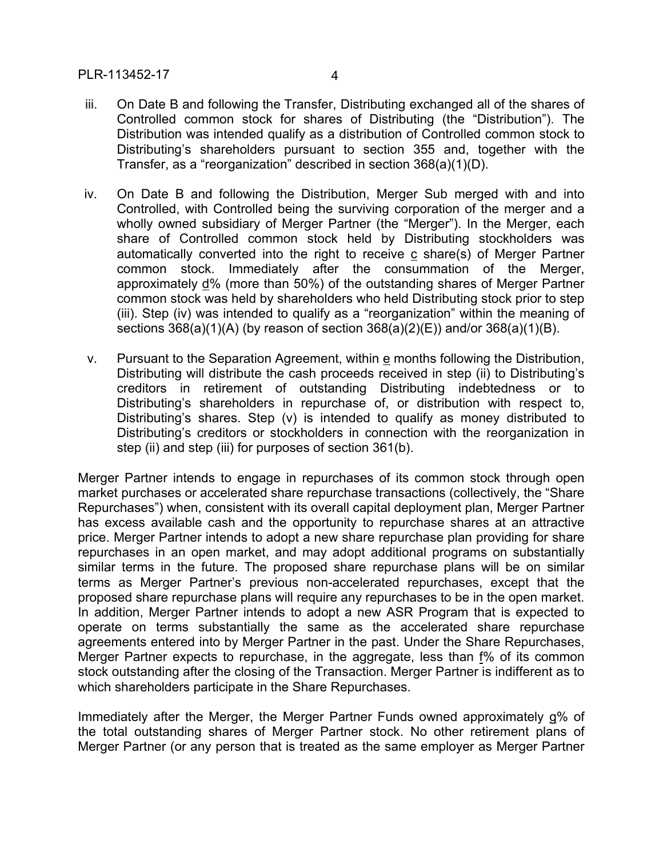- iii. On Date B and following the Transfer, Distributing exchanged all of the shares of Controlled common stock for shares of Distributing (the "Distribution"). The Distribution was intended qualify as a distribution of Controlled common stock to Distributing's shareholders pursuant to section 355 and, together with the Transfer, as a "reorganization" described in section 368(a)(1)(D).
- iv. On Date B and following the Distribution, Merger Sub merged with and into Controlled, with Controlled being the surviving corporation of the merger and a wholly owned subsidiary of Merger Partner (the "Merger"). In the Merger, each share of Controlled common stock held by Distributing stockholders was automatically converted into the right to receive c share(s) of Merger Partner common stock. Immediately after the consummation of the Merger, approximately d% (more than 50%) of the outstanding shares of Merger Partner common stock was held by shareholders who held Distributing stock prior to step (iii). Step (iv) was intended to qualify as a "reorganization" within the meaning of sections 368(a)(1)(A) (by reason of section 368(a)(2)(E)) and/or 368(a)(1)(B).
- v. Pursuant to the Separation Agreement, within e months following the Distribution, Distributing will distribute the cash proceeds received in step (ii) to Distributing's creditors in retirement of outstanding Distributing indebtedness or to Distributing's shareholders in repurchase of, or distribution with respect to, Distributing's shares. Step (v) is intended to qualify as money distributed to Distributing's creditors or stockholders in connection with the reorganization in step (ii) and step (iii) for purposes of section 361(b).

Merger Partner intends to engage in repurchases of its common stock through open market purchases or accelerated share repurchase transactions (collectively, the "Share Repurchases") when, consistent with its overall capital deployment plan, Merger Partner has excess available cash and the opportunity to repurchase shares at an attractive price. Merger Partner intends to adopt a new share repurchase plan providing for share repurchases in an open market, and may adopt additional programs on substantially similar terms in the future. The proposed share repurchase plans will be on similar terms as Merger Partner's previous non-accelerated repurchases, except that the proposed share repurchase plans will require any repurchases to be in the open market. In addition, Merger Partner intends to adopt a new ASR Program that is expected to operate on terms substantially the same as the accelerated share repurchase agreements entered into by Merger Partner in the past. Under the Share Repurchases, Merger Partner expects to repurchase, in the aggregate, less than f% of its common stock outstanding after the closing of the Transaction. Merger Partner is indifferent as to which shareholders participate in the Share Repurchases.

Immediately after the Merger, the Merger Partner Funds owned approximately g% of the total outstanding shares of Merger Partner stock. No other retirement plans of Merger Partner (or any person that is treated as the same employer as Merger Partner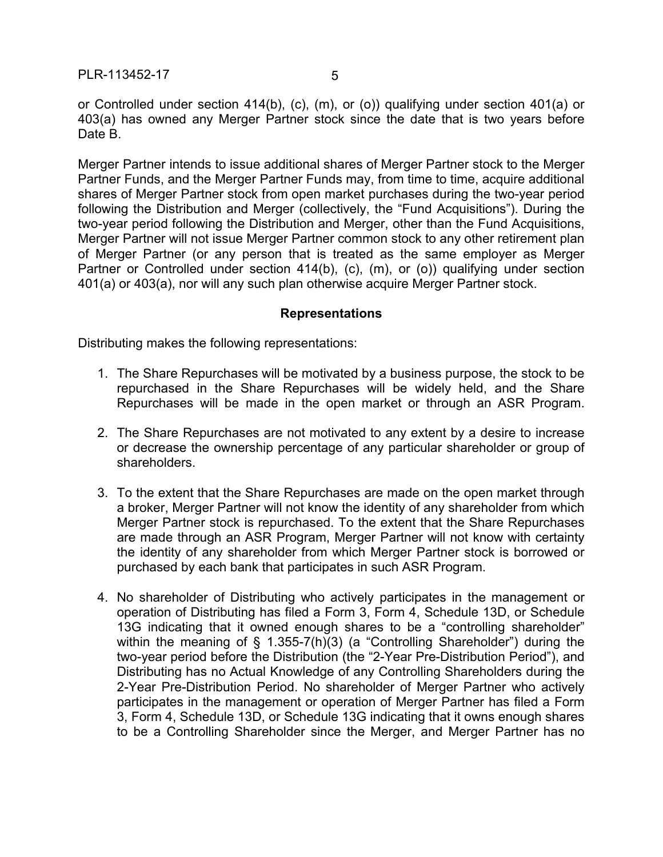or Controlled under section 414(b), (c), (m), or (o)) qualifying under section 401(a) or 403(a) has owned any Merger Partner stock since the date that is two years before Date B.

Merger Partner intends to issue additional shares of Merger Partner stock to the Merger Partner Funds, and the Merger Partner Funds may, from time to time, acquire additional shares of Merger Partner stock from open market purchases during the two-year period following the Distribution and Merger (collectively, the "Fund Acquisitions"). During the two-year period following the Distribution and Merger, other than the Fund Acquisitions, Merger Partner will not issue Merger Partner common stock to any other retirement plan of Merger Partner (or any person that is treated as the same employer as Merger Partner or Controlled under section 414(b), (c), (m), or (o)) qualifying under section 401(a) or 403(a), nor will any such plan otherwise acquire Merger Partner stock.

## **Representations**

Distributing makes the following representations:

- 1. The Share Repurchases will be motivated by a business purpose, the stock to be repurchased in the Share Repurchases will be widely held, and the Share Repurchases will be made in the open market or through an ASR Program.
- 2. The Share Repurchases are not motivated to any extent by a desire to increase or decrease the ownership percentage of any particular shareholder or group of shareholders.
- 3. To the extent that the Share Repurchases are made on the open market through a broker, Merger Partner will not know the identity of any shareholder from which Merger Partner stock is repurchased. To the extent that the Share Repurchases are made through an ASR Program, Merger Partner will not know with certainty the identity of any shareholder from which Merger Partner stock is borrowed or purchased by each bank that participates in such ASR Program.
- 4. No shareholder of Distributing who actively participates in the management or operation of Distributing has filed a Form 3, Form 4, Schedule 13D, or Schedule 13G indicating that it owned enough shares to be a "controlling shareholder" within the meaning of § 1.355-7(h)(3) (a "Controlling Shareholder") during the two-year period before the Distribution (the "2-Year Pre-Distribution Period"), and Distributing has no Actual Knowledge of any Controlling Shareholders during the 2-Year Pre-Distribution Period. No shareholder of Merger Partner who actively participates in the management or operation of Merger Partner has filed a Form 3, Form 4, Schedule 13D, or Schedule 13G indicating that it owns enough shares to be a Controlling Shareholder since the Merger, and Merger Partner has no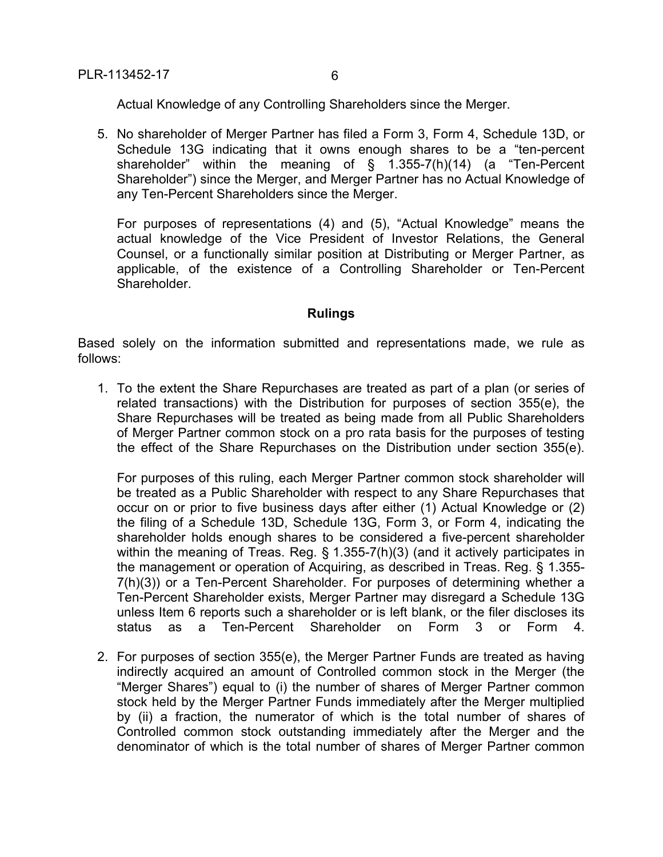Actual Knowledge of any Controlling Shareholders since the Merger.

5. No shareholder of Merger Partner has filed a Form 3, Form 4, Schedule 13D, or Schedule 13G indicating that it owns enough shares to be a "ten-percent shareholder" within the meaning of § 1.355-7(h)(14) (a "Ten-Percent Shareholder") since the Merger, and Merger Partner has no Actual Knowledge of any Ten-Percent Shareholders since the Merger.

For purposes of representations (4) and (5), "Actual Knowledge" means the actual knowledge of the Vice President of Investor Relations, the General Counsel, or a functionally similar position at Distributing or Merger Partner, as applicable, of the existence of a Controlling Shareholder or Ten-Percent Shareholder.

# **Rulings**

Based solely on the information submitted and representations made, we rule as follows:

1. To the extent the Share Repurchases are treated as part of a plan (or series of related transactions) with the Distribution for purposes of section 355(e), the Share Repurchases will be treated as being made from all Public Shareholders of Merger Partner common stock on a pro rata basis for the purposes of testing the effect of the Share Repurchases on the Distribution under section 355(e).

For purposes of this ruling, each Merger Partner common stock shareholder will be treated as a Public Shareholder with respect to any Share Repurchases that occur on or prior to five business days after either (1) Actual Knowledge or (2) the filing of a Schedule 13D, Schedule 13G, Form 3, or Form 4, indicating the shareholder holds enough shares to be considered a five-percent shareholder within the meaning of Treas. Reg. § 1.355-7(h)(3) (and it actively participates in the management or operation of Acquiring, as described in Treas. Reg. § 1.355- 7(h)(3)) or a Ten-Percent Shareholder. For purposes of determining whether a Ten-Percent Shareholder exists, Merger Partner may disregard a Schedule 13G unless Item 6 reports such a shareholder or is left blank, or the filer discloses its status as a Ten-Percent Shareholder on Form 3 or Form 4.

2. For purposes of section 355(e), the Merger Partner Funds are treated as having indirectly acquired an amount of Controlled common stock in the Merger (the "Merger Shares") equal to (i) the number of shares of Merger Partner common stock held by the Merger Partner Funds immediately after the Merger multiplied by (ii) a fraction, the numerator of which is the total number of shares of Controlled common stock outstanding immediately after the Merger and the denominator of which is the total number of shares of Merger Partner common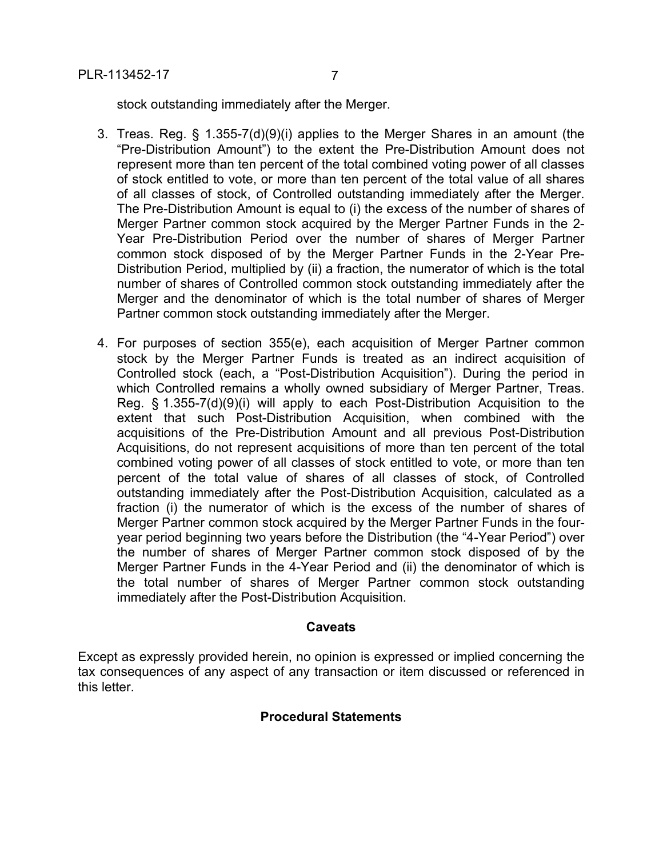stock outstanding immediately after the Merger.

- 3. Treas. Reg. § 1.355-7(d)(9)(i) applies to the Merger Shares in an amount (the "Pre-Distribution Amount") to the extent the Pre-Distribution Amount does not represent more than ten percent of the total combined voting power of all classes of stock entitled to vote, or more than ten percent of the total value of all shares of all classes of stock, of Controlled outstanding immediately after the Merger. The Pre-Distribution Amount is equal to (i) the excess of the number of shares of Merger Partner common stock acquired by the Merger Partner Funds in the 2- Year Pre-Distribution Period over the number of shares of Merger Partner common stock disposed of by the Merger Partner Funds in the 2-Year Pre-Distribution Period, multiplied by (ii) a fraction, the numerator of which is the total number of shares of Controlled common stock outstanding immediately after the Merger and the denominator of which is the total number of shares of Merger Partner common stock outstanding immediately after the Merger.
- 4. For purposes of section 355(e), each acquisition of Merger Partner common stock by the Merger Partner Funds is treated as an indirect acquisition of Controlled stock (each, a "Post-Distribution Acquisition"). During the period in which Controlled remains a wholly owned subsidiary of Merger Partner, Treas. Reg. § 1.355-7(d)(9)(i) will apply to each Post-Distribution Acquisition to the extent that such Post-Distribution Acquisition, when combined with the acquisitions of the Pre-Distribution Amount and all previous Post-Distribution Acquisitions, do not represent acquisitions of more than ten percent of the total combined voting power of all classes of stock entitled to vote, or more than ten percent of the total value of shares of all classes of stock, of Controlled outstanding immediately after the Post-Distribution Acquisition, calculated as a fraction (i) the numerator of which is the excess of the number of shares of Merger Partner common stock acquired by the Merger Partner Funds in the fouryear period beginning two years before the Distribution (the "4-Year Period") over the number of shares of Merger Partner common stock disposed of by the Merger Partner Funds in the 4-Year Period and (ii) the denominator of which is the total number of shares of Merger Partner common stock outstanding immediately after the Post-Distribution Acquisition.

# **Caveats**

Except as expressly provided herein, no opinion is expressed or implied concerning the tax consequences of any aspect of any transaction or item discussed or referenced in this letter.

# **Procedural Statements**